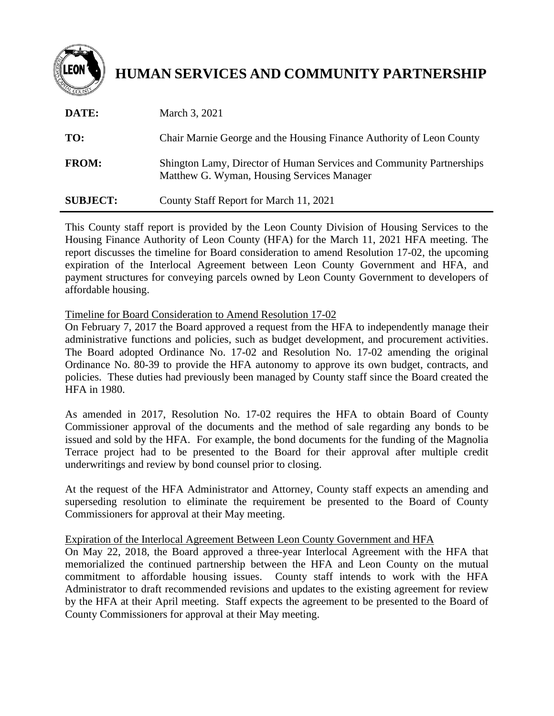

## **HUMAN SERVICES AND COMMUNITY PARTNERSHIP**

| DATE:           | March 3, 2021                                                                                                      |
|-----------------|--------------------------------------------------------------------------------------------------------------------|
| TO:             | Chair Marnie George and the Housing Finance Authority of Leon County                                               |
| <b>FROM:</b>    | Shington Lamy, Director of Human Services and Community Partnerships<br>Matthew G. Wyman, Housing Services Manager |
| <b>SUBJECT:</b> | County Staff Report for March 11, 2021                                                                             |

This County staff report is provided by the Leon County Division of Housing Services to the Housing Finance Authority of Leon County (HFA) for the March 11, 2021 HFA meeting. The report discusses the timeline for Board consideration to amend Resolution 17-02, the upcoming expiration of the Interlocal Agreement between Leon County Government and HFA, and payment structures for conveying parcels owned by Leon County Government to developers of affordable housing.

## Timeline for Board Consideration to Amend Resolution 17-02

On February 7, 2017 the Board approved a request from the HFA to independently manage their administrative functions and policies, such as budget development, and procurement activities. The Board adopted Ordinance No. 17-02 and Resolution No. 17-02 amending the original Ordinance No. 80-39 to provide the HFA autonomy to approve its own budget, contracts, and policies. These duties had previously been managed by County staff since the Board created the HFA in 1980.

As amended in 2017, Resolution No. 17-02 requires the HFA to obtain Board of County Commissioner approval of the documents and the method of sale regarding any bonds to be issued and sold by the HFA. For example, the bond documents for the funding of the Magnolia Terrace project had to be presented to the Board for their approval after multiple credit underwritings and review by bond counsel prior to closing.

At the request of the HFA Administrator and Attorney, County staff expects an amending and superseding resolution to eliminate the requirement be presented to the Board of County Commissioners for approval at their May meeting.

## Expiration of the Interlocal Agreement Between Leon County Government and HFA

On May 22, 2018, the Board approved a three-year Interlocal Agreement with the HFA that memorialized the continued partnership between the HFA and Leon County on the mutual commitment to affordable housing issues. County staff intends to work with the HFA Administrator to draft recommended revisions and updates to the existing agreement for review by the HFA at their April meeting. Staff expects the agreement to be presented to the Board of County Commissioners for approval at their May meeting.